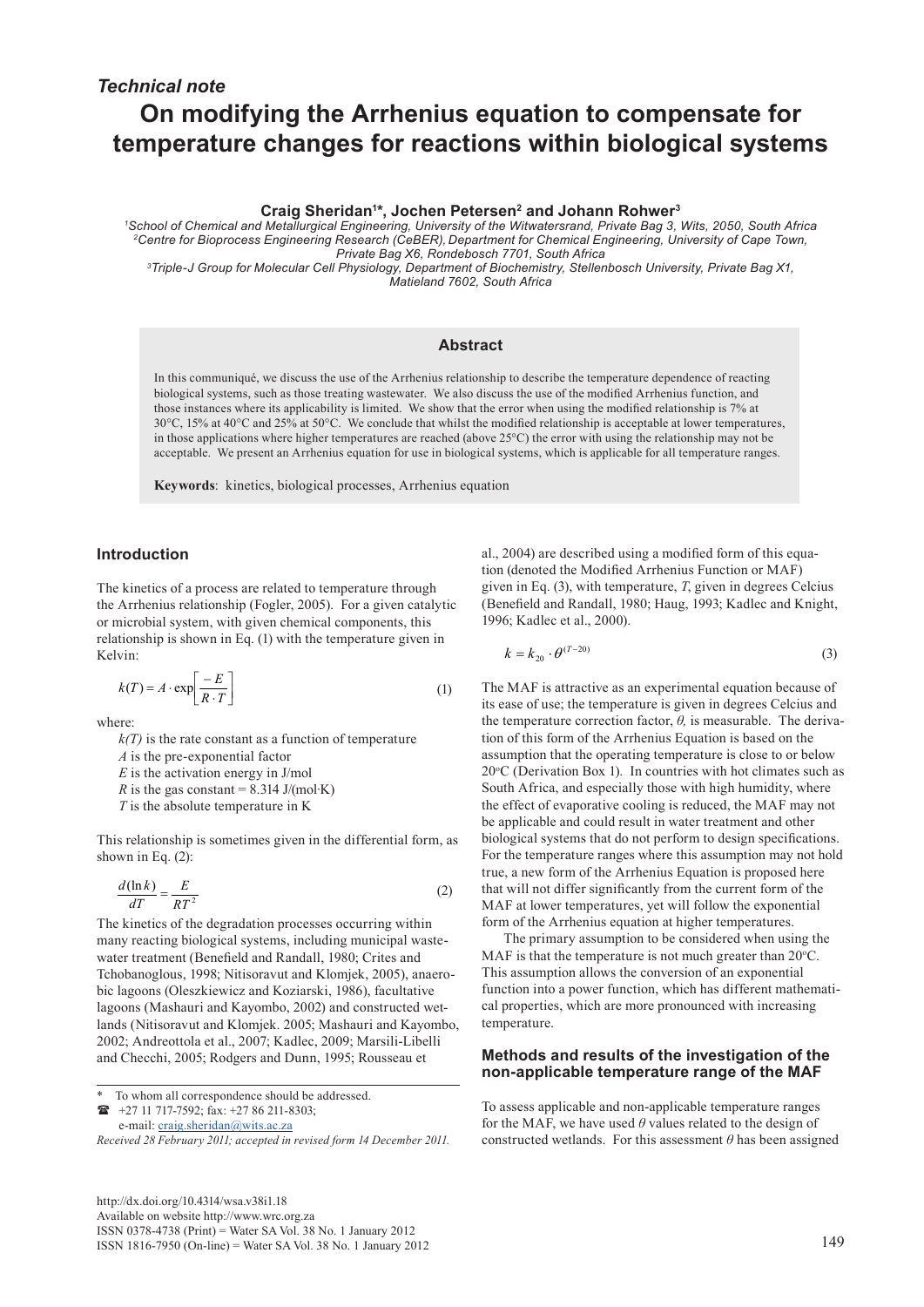# **On modifying the Arrhenius equation to compensate for temperature changes for reactions within biological systems**

**Craig Sheridan1 \*, Jochen Petersen2 and Johann Rohwer3**

*1 School of Chemical and Metallurgical Engineering, University of the Witwatersrand, Private Bag 3, Wits, 2050, South Africa 2Centre for Bioprocess Engineering Research (CeBER), Department for Chemical Engineering, University of Cape Town, Private Bag X6, Rondebosch 7701, South Africa*

*3 Triple-J Group for Molecular Cell Physiology, Department of Biochemistry, Stellenbosch University, Private Bag X1, Matieland 7602, South Africa*

## **Abstract**

In this communiqué, we discuss the use of the Arrhenius relationship to describe the temperature dependence of reacting biological systems, such as those treating wastewater. We also discuss the use of the modified Arrhenius function, and those instances where its applicability is limited. We show that the error when using the modified relationship is 7% at 30°C, 15% at 40°C and 25% at 50°C. We conclude that whilst the modified relationship is acceptable at lower temperatures, in those applications where higher temperatures are reached (above  $25^{\circ}$ C) the error with using the relationship may not be acceptable. We present an Arrhenius equation for use in biological systems, which is applicable for all temperature ranges.

**Keywords**: kinetics, biological processes, Arrhenius equation

## **Introduction**

The kinetics of a process are related to temperature through the Arrhenius relationship (Fogler, 2005). For a given catalytic or microbial system, with given chemical components, this relationship is shown in Eq. (1) with the temperature given in Kelvin:

$$
k(T) = A \cdot \exp\left[\frac{-E}{R \cdot T}\right] \tag{1}
$$

where:

 $k(T)$  is the rate constant as a function of temperature

*A* is the pre-exponential factor

*E* is the activation energy in J/mol

*R* is the gas constant =  $8.314$  J/(mol⋅K)

*T* is the absolute temperature in K

This relationship is sometimes given in the differential form, as shown in Eq. (2):

$$
\frac{d(\ln k)}{dT} = \frac{E}{RT^2} \tag{2}
$$

The kinetics of the degradation processes occurring within many reacting biological systems, including municipal wastewater treatment (Benefield and Randall, 1980; Crites and Tchobanoglous, 1998; Nitisoravut and Klomjek, 2005), anaerobic lagoons (Oleszkiewicz and Koziarski, 1986), facultative lagoons (Mashauri and Kayombo, 2002) and constructed wetlands (Nitisoravut and Klomjek. 2005; Mashauri and Kayombo, 2002; Andreottola et al., 2007; Kadlec, 2009; Marsili-Libelli and Checchi, 2005; Rodgers and Dunn, 1995; Rousseau et

+27 11 717-7592; fax: +27 86 211-8303;

e-mail: craig.sheridan@wits.ac.za

*Received 28 February 2011; accepted in revised form 14 December 2011.*

[http://dx.doi.org/10.4314/wsa.v38i1.18](http://dx.doi.org/10.4314/wsa.v37i4.18) Available on website http://www.wrc.org.za ISSN 0378-4738 (Print) = Water SA Vol. 38 No. 1 January 2012 ISSN 1816-7950 (On-line) = Water SA Vol. 38 No. 1 January 2012 12

al., 2004) are described using a modified form of this equation (denoted the Modified Arrhenius Function or MAF) given in Eq. (3), with temperature, *T*, given in degrees Celcius (Benefield and Randall, 1980; Haug, 1993; Kadlec and Knight, 1996; Kadlec et al., 2000).

$$
k = k_{20} \cdot \theta^{(T-20)} \tag{3}
$$

The MAF is attractive as an experimental equation because of its ease of use; the temperature is given in degrees Celcius and the temperature correction factor, *θ,* is measurable. The derivation of this form of the Arrhenius Equation is based on the assumption that the operating temperature is close to or below  $20^{\circ}$ C (Derivation Box 1). In countries with hot climates such as South Africa, and especially those with high humidity, where the effect of evaporative cooling is reduced, the MAF may not be applicable and could result in water treatment and other biological systems that do not perform to design specifications. For the temperature ranges where this assumption may not hold true, a new form of the Arrhenius Equation is proposed here that will not differ significantly from the current form of the MAF at lower temperatures, yet will follow the exponential form of the Arrhenius equation at higher temperatures.

The primary assumption to be considered when using the MAF is that the temperature is not much greater than  $20^{\circ}$ C. This assumption allows the conversion of an exponential function into a power function, which has different mathematical properties, which are more pronounced with increasing temperature.

### **Methods and results of the investigation of the non-applicable temperature range of the MAF**

To assess applicable and non-applicable temperature ranges for the MAF, we have used *θ* values related to the design of constructed wetlands. For this assessment *θ* has been assigned

To whom all correspondence should be addressed.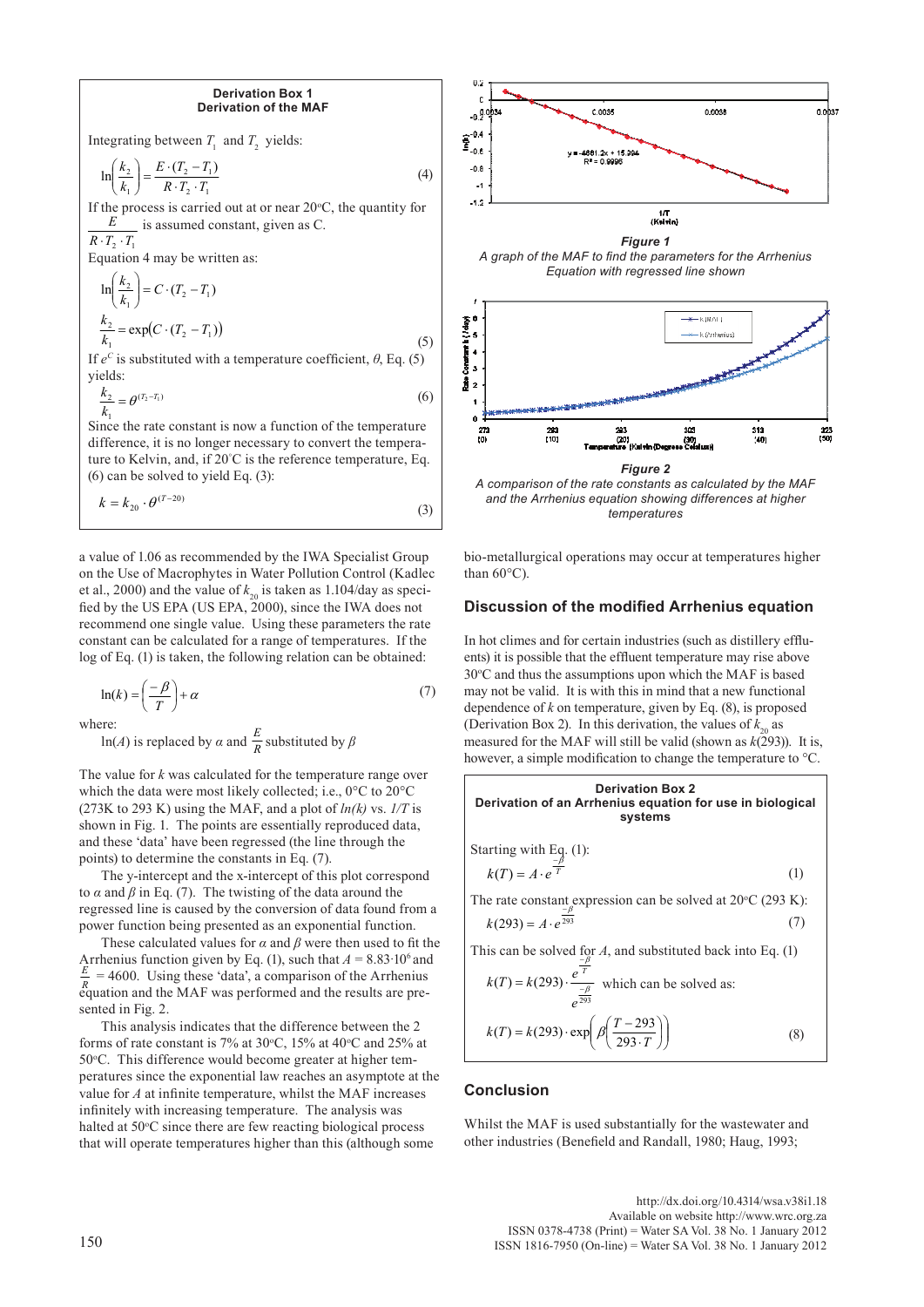#### **Derivation Box 1 Derivation of the MAF**

Integrating between  $T_1$  and  $T_2$  yields:

$$
\ln\left(\frac{k_2}{k_1}\right) = \frac{E \cdot (T_2 - T_1)}{R \cdot T_2 \cdot T_1} \tag{4}
$$

If the process is carried out at or near  $20^{\circ}$ C, the quantity for is assumed constant, given as C.  $R \cdot T_2 \cdot T_1$ *E*

Equation 4 may be written as:

$$
\ln\left(\frac{k_2}{k_1}\right) = C \cdot (T_2 - T_1)
$$
  
\n
$$
\frac{k_2}{k_1} = \exp(C \cdot (T_2 - T_1))
$$
\n(5)

If  $e^C$  is substituted with a temperature coefficient,  $\theta$ , Eq. (5) yields:

$$
\frac{k_2}{k_1} = \theta^{(T_2 - T_1)}\tag{6}
$$

Since the rate constant is now a function of the temperature difference, it is no longer necessary to convert the temperature to Kelvin, and, if 20° C is the reference temperature, Eq. (6) can be solved to yield Eq. (3):

$$
k = k_{20} \cdot \theta^{(T-20)} \tag{3}
$$

a value of 1.06 as recommended by the IWA Specialist Group on the Use of Macrophytes in Water Pollution Control (Kadlec et al., 2000) and the value of  $k_{20}$  is taken as 1.104/day as specified by the US EPA (US EPA, 2000), since the IWA does not recommend one single value. Using these parameters the rate constant can be calculated for a range of temperatures. If the log of Eq. (1) is taken, the following relation can be obtained:

$$
\ln(k) = \left(\frac{-\beta}{T}\right) + \alpha\tag{7}
$$

where:

ln(*A*) is replaced by  $\alpha$  and  $\frac{\pi}{R}$  substituted by  $\beta$ *E*

The value for *k* was calculated for the temperature range over which the data were most likely collected; i.e., 0°C to 20°C (273K to 293 K) using the MAF, and a plot of  $ln(k)$  vs.  $1/T$  is shown in Fig. 1. The points are essentially reproduced data, and these 'data' have been regressed (the line through the points) to determine the constants in Eq. (7).

The y-intercept and the x-intercept of this plot correspond to  $\alpha$  and  $\beta$  in Eq. (7). The twisting of the data around the regressed line is caused by the conversion of data found from a power function being presented as an exponential function.

These calculated values for  $\alpha$  and  $\beta$  were then used to fit the Arrhenius function given by Eq. (1), such that  $A = 8.83 \cdot 10^6$  and  $E = 4600$ . Using these identical approximant fiber Arrhenius.  $= 4600$ . Using these 'data', a comparison of the Arrhenius equation and the MAF was performed and the results are pre-*R* sented in Fig. 2.

This analysis indicates that the difference between the 2 forms of rate constant is 7% at 30°C, 15% at 40°C and 25% at 50°C. This difference would become greater at higher temperatures since the exponential law reaches an asymptote at the value for *A* at infinite temperature, whilst the MAF increases infinitely with increasing temperature. The analysis was halted at 50°C since there are few reacting biological process that will operate temperatures higher than this (although some



*temperatures*

bio-metallurgical operations may occur at temperatures higher than 60°C).

# **Discussion of the modified Arrhenius equation**

In hot climes and for certain industries (such as distillery effluents) it is possible that the effluent temperature may rise above 30°C and thus the assumptions upon which the MAF is based may not be valid. It is with this in mind that a new functional dependence of  $k$  on temperature, given by Eq.  $(8)$ , is proposed (Derivation Box 2). In this derivation, the values of  $k_{20}$  as measured for the MAF will still be valid (shown as  $k(293)$ ). It is, however, a simple modification to change the temperature to °C.

**Derivation of an Arrhenius equation for use in biological systems**  
\nStarting with Eq. (1):  
\n
$$
k(T) = A \cdot e^{\frac{-\beta}{T}}
$$
 (1)  
\nThe rate constant expression can be solved at 20°C (293 K):  
\n $k(293) = A \cdot e^{\frac{-\beta}{293}}$  (7)  
\nThis can be solved for A, and substituted back into Eq. (1)  
\n $k(T) = k(293) \cdot \frac{e^{\frac{-\beta}{T}}}{e^{\frac{-\beta}{293}}}$  which can be solved as:  
\n $k(T) = k(293) \cdot \exp\left(\frac{\beta(\frac{T-293}{293 \cdot T})}{e^{\frac{-\beta}{293} \cdot \frac{293}{27}}}\right)$  (8)

## **Conclusion**

Whilst the MAF is used substantially for the wastewater and other industries (Benefield and Randall, 1980; Haug, 1993;